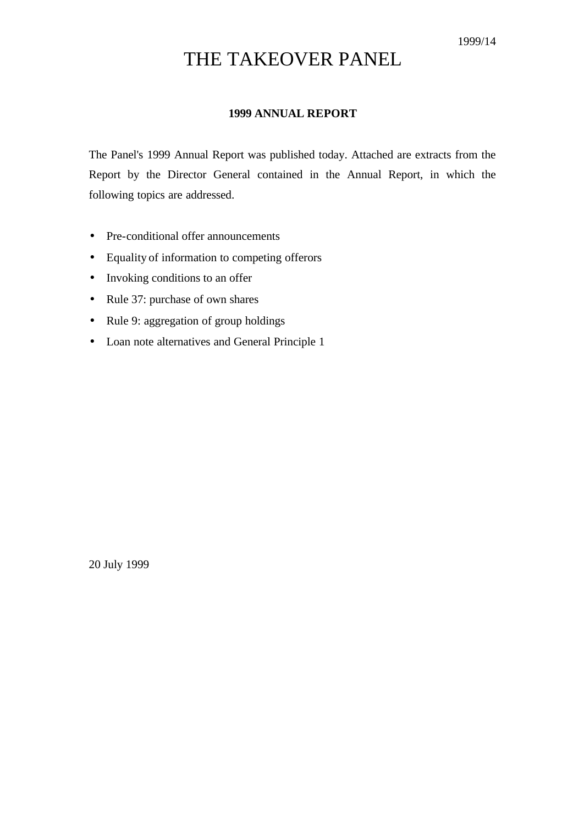# THE TAKEOVER PANEL

## **1999 ANNUAL REPORT**

The Panel's 1999 Annual Report was published today. Attached are extracts from the Report by the Director General contained in the Annual Report, in which the following topics are addressed.

- Pre-conditional offer announcements
- Equality of information to competing offerors
- Invoking conditions to an offer
- Rule 37: purchase of own shares
- Rule 9: aggregation of group holdings
- Loan note alternatives and General Principle 1

20 July 1999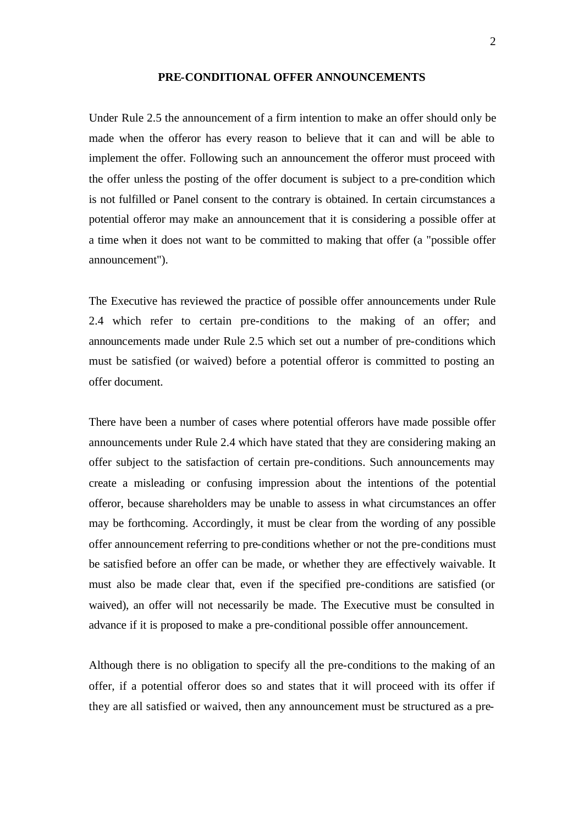#### **PRE-CONDITIONAL OFFER ANNOUNCEMENTS**

Under Rule 2.5 the announcement of a firm intention to make an offer should only be made when the offeror has every reason to believe that it can and will be able to implement the offer. Following such an announcement the offeror must proceed with the offer unless the posting of the offer document is subject to a pre-condition which is not fulfilled or Panel consent to the contrary is obtained. In certain circumstances a potential offeror may make an announcement that it is considering a possible offer at a time when it does not want to be committed to making that offer (a "possible offer announcement").

The Executive has reviewed the practice of possible offer announcements under Rule 2.4 which refer to certain pre-conditions to the making of an offer; and announcements made under Rule 2.5 which set out a number of pre-conditions which must be satisfied (or waived) before a potential offeror is committed to posting an offer document.

There have been a number of cases where potential offerors have made possible offer announcements under Rule 2.4 which have stated that they are considering making an offer subject to the satisfaction of certain pre-conditions. Such announcements may create a misleading or confusing impression about the intentions of the potential offeror, because shareholders may be unable to assess in what circumstances an offer may be forthcoming. Accordingly, it must be clear from the wording of any possible offer announcement referring to pre-conditions whether or not the pre-conditions must be satisfied before an offer can be made, or whether they are effectively waivable. It must also be made clear that, even if the specified pre-conditions are satisfied (or waived), an offer will not necessarily be made. The Executive must be consulted in advance if it is proposed to make a pre-conditional possible offer announcement.

Although there is no obligation to specify all the pre-conditions to the making of an offer, if a potential offeror does so and states that it will proceed with its offer if they are all satisfied or waived, then any announcement must be structured as a pre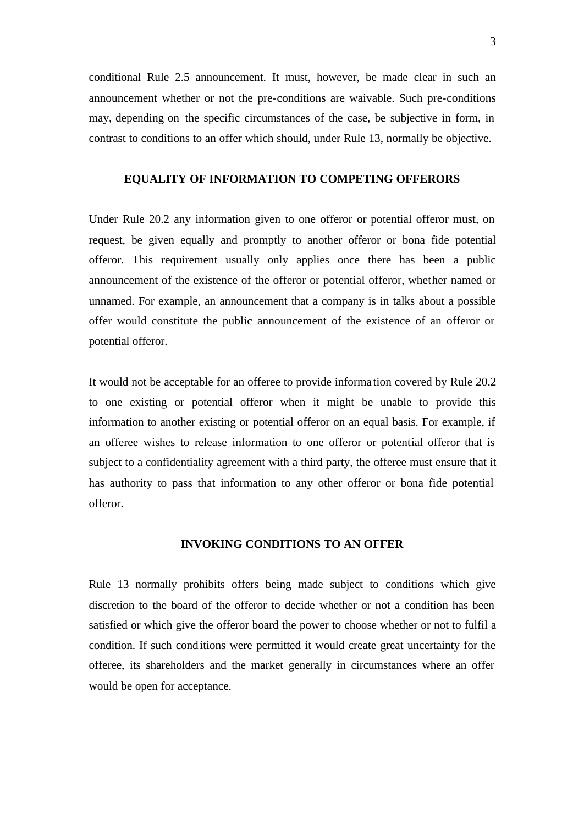conditional Rule 2.5 announcement. It must, however, be made clear in such an announcement whether or not the pre-conditions are waivable. Such pre-conditions may, depending on the specific circumstances of the case, be subjective in form, in contrast to conditions to an offer which should, under Rule 13, normally be objective.

### **EQUALITY OF INFORMATION TO COMPETING OFFERORS**

Under Rule 20.2 any information given to one offeror or potential offeror must, on request, be given equally and promptly to another offeror or bona fide potential offeror. This requirement usually only applies once there has been a public announcement of the existence of the offeror or potential offeror, whether named or unnamed. For example, an announcement that a company is in talks about a possible offer would constitute the public announcement of the existence of an offeror or potential offeror.

It would not be acceptable for an offeree to provide informa tion covered by Rule 20.2 to one existing or potential offeror when it might be unable to provide this information to another existing or potential offeror on an equal basis. For example, if an offeree wishes to release information to one offeror or potential offeror that is subject to a confidentiality agreement with a third party, the offeree must ensure that it has authority to pass that information to any other offeror or bona fide potential offeror.

#### **INVOKING CONDITIONS TO AN OFFER**

Rule 13 normally prohibits offers being made subject to conditions which give discretion to the board of the offeror to decide whether or not a condition has been satisfied or which give the offeror board the power to choose whether or not to fulfil a condition. If such conditions were permitted it would create great uncertainty for the offeree, its shareholders and the market generally in circumstances where an offer would be open for acceptance.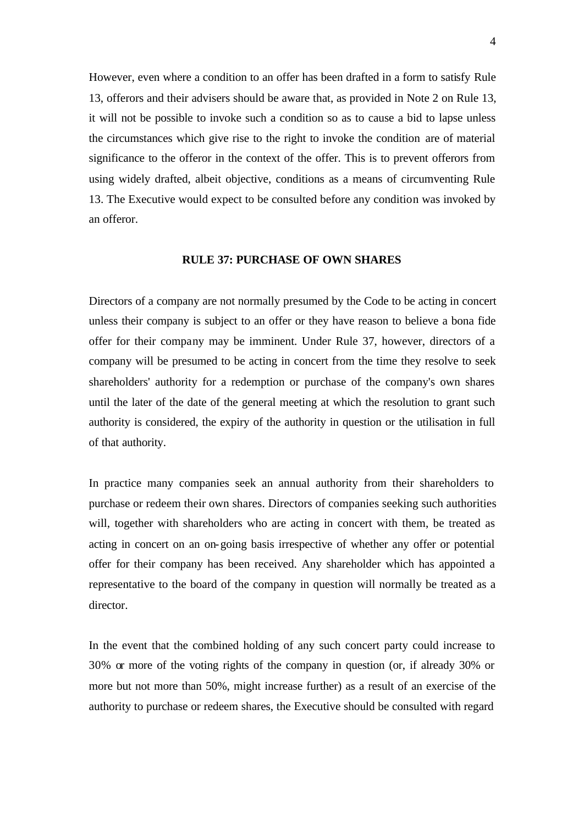However, even where a condition to an offer has been drafted in a form to satisfy Rule 13, offerors and their advisers should be aware that, as provided in Note 2 on Rule 13, it will not be possible to invoke such a condition so as to cause a bid to lapse unless the circumstances which give rise to the right to invoke the condition are of material significance to the offeror in the context of the offer. This is to prevent offerors from using widely drafted, albeit objective, conditions as a means of circumventing Rule 13. The Executive would expect to be consulted before any condition was invoked by an offeror.

#### **RULE 37: PURCHASE OF OWN SHARES**

Directors of a company are not normally presumed by the Code to be acting in concert unless their company is subject to an offer or they have reason to believe a bona fide offer for their company may be imminent. Under Rule 37, however, directors of a company will be presumed to be acting in concert from the time they resolve to seek shareholders' authority for a redemption or purchase of the company's own shares until the later of the date of the general meeting at which the resolution to grant such authority is considered, the expiry of the authority in question or the utilisation in full of that authority.

In practice many companies seek an annual authority from their shareholders to purchase or redeem their own shares. Directors of companies seeking such authorities will, together with shareholders who are acting in concert with them, be treated as acting in concert on an on-going basis irrespective of whether any offer or potential offer for their company has been received. Any shareholder which has appointed a representative to the board of the company in question will normally be treated as a director.

In the event that the combined holding of any such concert party could increase to 30% or more of the voting rights of the company in question (or, if already 30% or more but not more than 50%, might increase further) as a result of an exercise of the authority to purchase or redeem shares, the Executive should be consulted with regard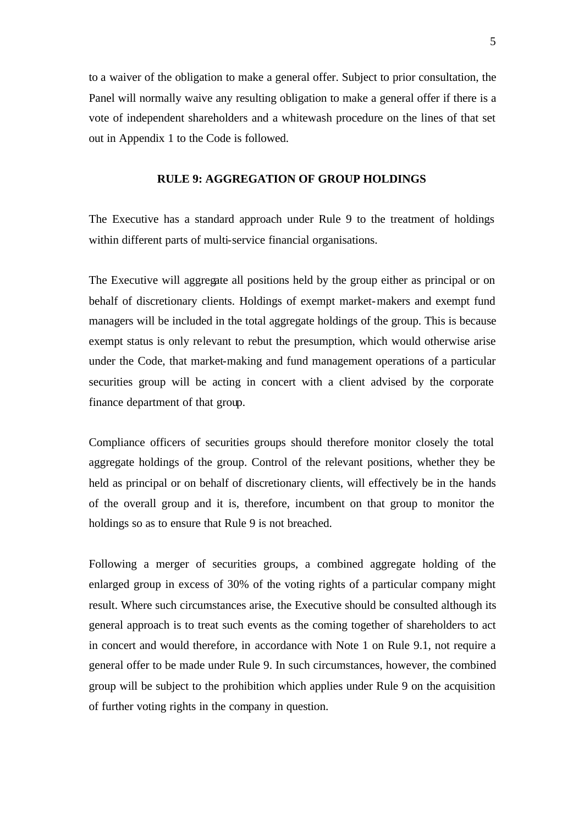to a waiver of the obligation to make a general offer. Subject to prior consultation, the Panel will normally waive any resulting obligation to make a general offer if there is a vote of independent shareholders and a whitewash procedure on the lines of that set out in Appendix 1 to the Code is followed.

### **RULE 9: AGGREGATION OF GROUP HOLDINGS**

The Executive has a standard approach under Rule 9 to the treatment of holdings within different parts of multi-service financial organisations.

The Executive will aggregate all positions held by the group either as principal or on behalf of discretionary clients. Holdings of exempt market-makers and exempt fund managers will be included in the total aggregate holdings of the group. This is because exempt status is only relevant to rebut the presumption, which would otherwise arise under the Code, that market-making and fund management operations of a particular securities group will be acting in concert with a client advised by the corporate finance department of that group.

Compliance officers of securities groups should therefore monitor closely the total aggregate holdings of the group. Control of the relevant positions, whether they be held as principal or on behalf of discretionary clients, will effectively be in the hands of the overall group and it is, therefore, incumbent on that group to monitor the holdings so as to ensure that Rule 9 is not breached.

Following a merger of securities groups, a combined aggregate holding of the enlarged group in excess of 30% of the voting rights of a particular company might result. Where such circumstances arise, the Executive should be consulted although its general approach is to treat such events as the coming together of shareholders to act in concert and would therefore, in accordance with Note 1 on Rule 9.1, not require a general offer to be made under Rule 9. In such circumstances, however, the combined group will be subject to the prohibition which applies under Rule 9 on the acquisition of further voting rights in the company in question.